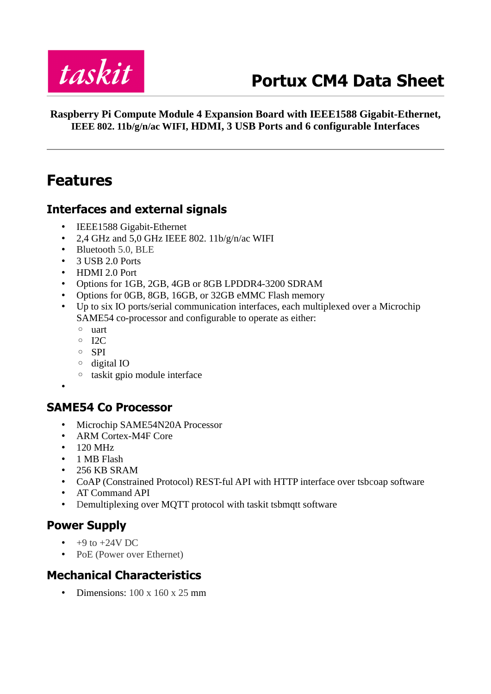

# **Portux CM4 Data Sheet**

**Raspberry Pi Compute Module 4 Expansion Board with IEEE1588 Gigabit-Ethernet, IEEE 802. 11b/g/n/ac WIFI, HDMI, 3 USB Ports and 6 configurable Interfaces**

# <span id="page-0-0"></span>**Features**

#### <span id="page-0-4"></span>**Interfaces and external signals**

- IEEE1588 Gigabit-Ethernet
- 2,4 GHz and 5,0 GHz IEEE 802. 11b/g/n/ac WIFI
- Bluetooth 5.0, BLE
- 3 USB 2.0 Ports
- HDMI 2.0 Port
- Options for 1GB, 2GB, 4GB or 8GB LPDDR4-3200 SDRAM
- Options for 0GB, 8GB, 16GB, or 32GB eMMC Flash memory
- Up to six IO ports/serial communication interfaces, each multiplexed over a Microchip SAME54 co-processor and configurable to operate as either:
	- uart
	- $\circ$  I<sub>2C</sub>
	- SPI
	- digital IO
	- taskit gpio module interface
- •

#### <span id="page-0-3"></span>**SAME54 Co Processor**

- Microchip SAME54N20A Processor
- ARM Cortex-M4F Core
- 120 MHz
- 1 MB Flash
- 256 KB SRAM
- CoAP (Constrained Protocol) REST-ful API with HTTP interface over tsbcoap software
- AT Command API
- Demultiplexing over MQTT protocol with taskit tsbmqtt software

### <span id="page-0-2"></span>**Power Supply**

- $\cdot$  +9 to +24V DC
- PoE (Power over Ethernet)

### <span id="page-0-1"></span>**Mechanical Characteristics**

• Dimensions:  $100 \times 160 \times 25$  mm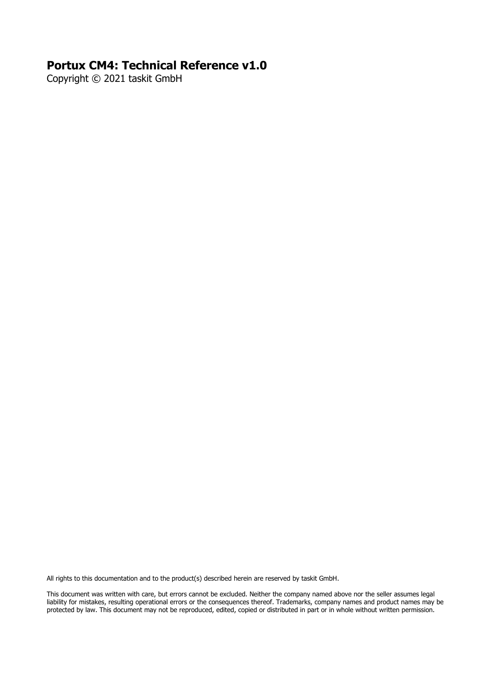#### **Portux CM4: Technical Reference v1.0**

Copyright © 2021 taskit GmbH

All rights to this documentation and to the product(s) described herein are reserved by taskit GmbH.

This document was written with care, but errors cannot be excluded. Neither the company named above nor the seller assumes legal liability for mistakes, resulting operational errors or the consequences thereof. Trademarks, company names and product names may be protected by law. This document may not be reproduced, edited, copied or distributed in part or in whole without written permission.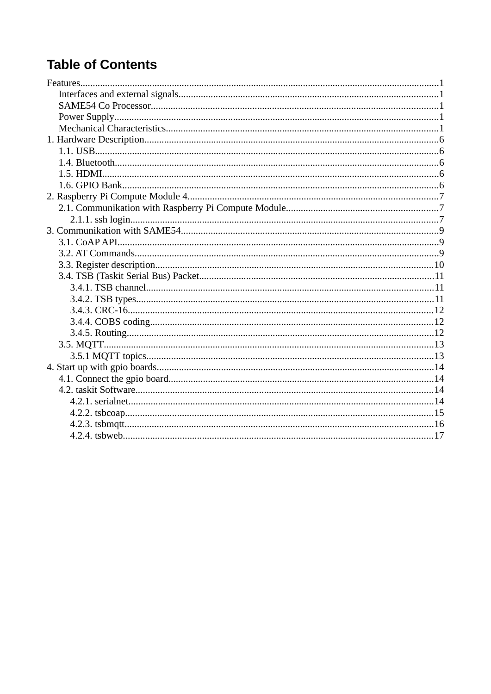# **Table of Contents**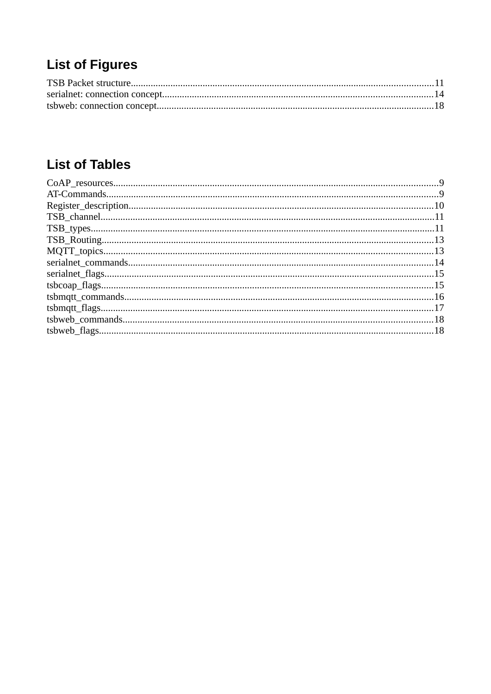# **List of Figures**

# **List of Tables**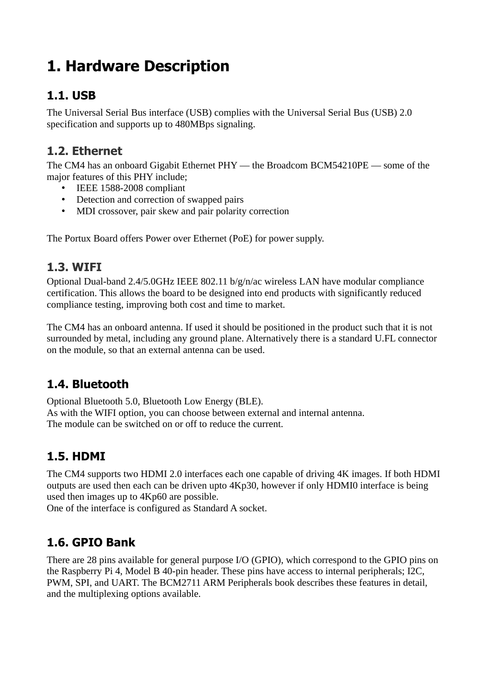# <span id="page-5-4"></span>**1. Hardware Description**

### <span id="page-5-3"></span>**1.1. USB**

The Universal Serial Bus interface (USB) complies with the Universal Serial Bus (USB) 2.0 specification and supports up to 480MBps signaling.

### **1.2. Ethernet**

The CM4 has an onboard Gigabit Ethernet PHY — the Broadcom BCM54210PE — some of the major features of this PHY include;

- IEEE 1588-2008 compliant
- Detection and correction of swapped pairs
- MDI crossover, pair skew and pair polarity correction

The Portux Board offers Power over Ethernet (PoE) for power supply.

### **1.3. WIFI**

Optional Dual-band 2.4/5.0GHz IEEE 802.11 b/g/n/ac wireless LAN have modular compliance certification. This allows the board to be designed into end products with significantly reduced compliance testing, improving both cost and time to market.

The CM4 has an onboard antenna. If used it should be positioned in the product such that it is not surrounded by metal, including any ground plane. Alternatively there is a standard U.FL connector on the module, so that an external antenna can be used.

# <span id="page-5-2"></span>**1.4. Bluetooth**

Optional Bluetooth 5.0, Bluetooth Low Energy (BLE). As with the WIFI option, you can choose between external and internal antenna. The module can be switched on or off to reduce the current.

### <span id="page-5-1"></span>**1.5. HDMI**

The CM4 supports two HDMI 2.0 interfaces each one capable of driving 4K images. If both HDMI outputs are used then each can be driven upto 4Kp30, however if only HDMI0 interface is being used then images up to 4Kp60 are possible.

One of the interface is configured as Standard A socket.

### <span id="page-5-0"></span>**1.6. GPIO Bank**

There are 28 pins available for general purpose I/O (GPIO), which correspond to the GPIO pins on the Raspberry Pi 4, Model B 40-pin header. These pins have access to internal peripherals; I2C, PWM, SPI, and UART. The BCM2711 ARM Peripherals book describes these features in detail, and the multiplexing options available.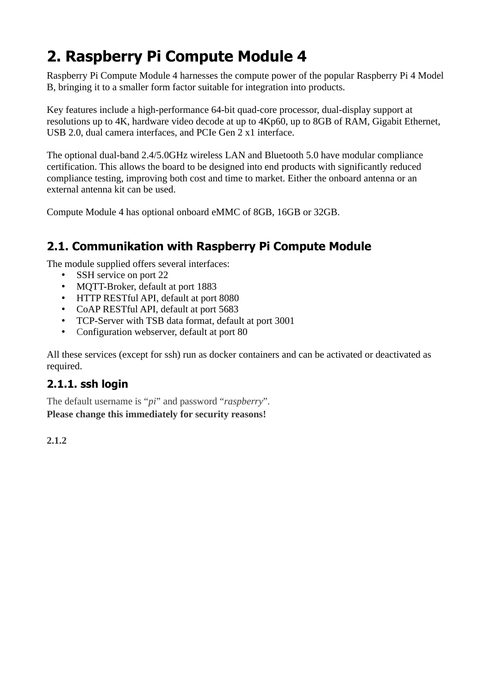# <span id="page-6-2"></span>**2. Raspberry Pi Compute Module 4**

Raspberry Pi Compute Module 4 harnesses the compute power of the popular Raspberry Pi 4 Model B, bringing it to a smaller form factor suitable for integration into products.

Key features include a high-performance 64-bit quad-core processor, dual-display support at resolutions up to 4K, hardware video decode at up to 4Kp60, up to 8GB of RAM, Gigabit Ethernet, USB 2.0, dual camera interfaces, and PCIe Gen 2 x1 interface.

The optional dual-band 2.4/5.0GHz wireless LAN and Bluetooth 5.0 have modular compliance certification. This allows the board to be designed into end products with significantly reduced compliance testing, improving both cost and time to market. Either the onboard antenna or an external antenna kit can be used.

Compute Module 4 has optional onboard eMMC of 8GB, 16GB or 32GB.

## <span id="page-6-1"></span>**2.1. Communikation with Raspberry Pi Compute Module**

The module supplied offers several interfaces:

- SSH service on port 22
- MQTT-Broker, default at port 1883
- HTTP RESTful API, default at port 8080
- CoAP RESTful API, default at port 5683
- TCP-Server with TSB data format, default at port 3001
- Configuration webserver, default at port 80

All these services (except for ssh) run as docker containers and can be activated or deactivated as required.

#### <span id="page-6-0"></span>**2.1.1. ssh login**

The default username is "*pi*" and password "*raspberry*". **Please change this immediately for security reasons!**

**2.1.2**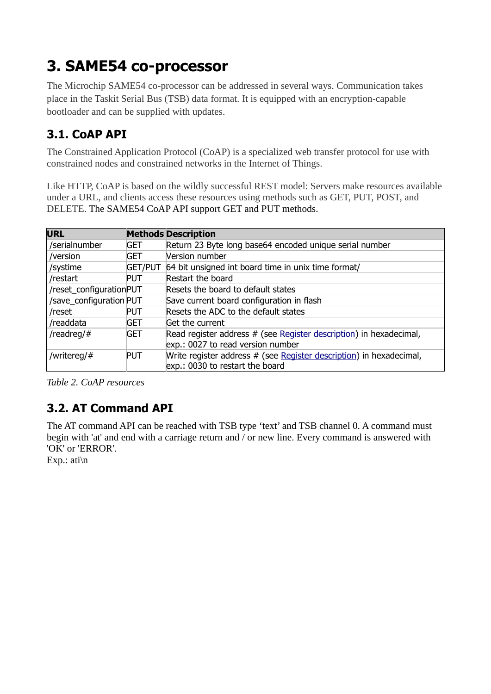# <span id="page-8-2"></span>**3. SAME54 co-processor**

The Microchip SAME54 co-processor can be addressed in several ways. Communication takes place in the Taskit Serial Bus (TSB) data format. It is equipped with an encryption-capable bootloader and can be supplied with updates.

# <span id="page-8-1"></span>**3.1. CoAP API**

The Constrained Application Protocol (CoAP) is a specialized web transfer protocol for use with constrained nodes and constrained networks in the Internet of Things.

Like HTTP, CoAP is based on the wildly successful REST model: Servers make resources available under a URL, and clients access these resources using methods such as GET, PUT, POST, and DELETE. The SAME54 CoAP API support GET and PUT methods.

| <b>URL</b>              |                | <b>Methods Description</b>                                          |
|-------------------------|----------------|---------------------------------------------------------------------|
| /serialnumber           | GET            | Return 23 Byte long base64 encoded unique serial number             |
| /version                | GET            | Version number                                                      |
| /systime                | <b>GET/PUT</b> | 64 bit unsigned int board time in unix time format/                 |
| /restart                | <b>PUT</b>     | Restart the board                                                   |
| /reset_configurationPUT |                | Resets the board to default states                                  |
| /save_configuration PUT |                | Save current board configuration in flash                           |
| /reset                  | <b>PUT</b>     | Resets the ADC to the default states                                |
| /readdata               | <b>GET</b>     | Get the current                                                     |
| /readreg/#              | <b>GET</b>     | Read register address # (see Register description) in hexadecimal,  |
|                         |                | exp.: 0027 to read version number                                   |
| /writereg/#             | <b>PUT</b>     | Write register address # (see Register description) in hexadecimal, |
|                         |                | exp.: 0030 to restart the board                                     |

*Table 2. CoAP resources*

# <span id="page-8-0"></span>**3.2. AT Command API**

The AT command API can be reached with TSB type 'text' and TSB channel 0. A command must begin with 'at' and end with a carriage return and / or new line. Every command is answered with 'OK' or 'ERROR'.

Exp.: ati\n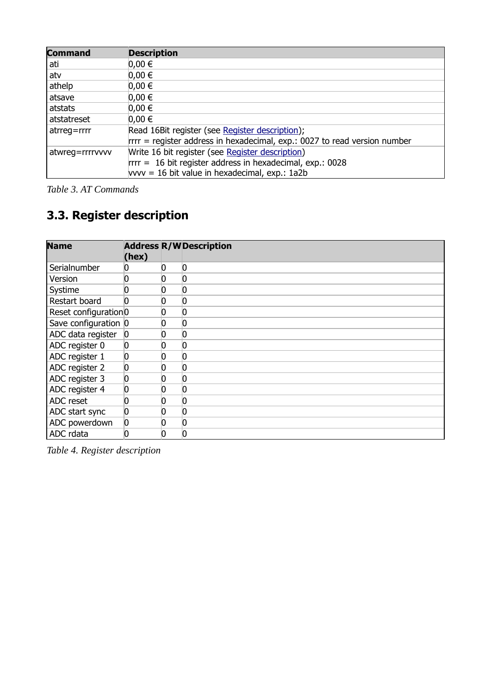| <b>Command</b>  | <b>Description</b>                                                         |
|-----------------|----------------------------------------------------------------------------|
| ati             | $0,00 \in$                                                                 |
| atv             | $0,00 \in$                                                                 |
| athelp          | $0,00 \in$                                                                 |
| atsave          | $0,00 \in$                                                                 |
| atstats         | $0,00 \in$                                                                 |
| atstatreset     | $0,00 \in$                                                                 |
| $atreg = rrrr$  | Read 16Bit register (see Register description);                            |
|                 | $rrr$ = register address in hexadecimal, exp.: 0027 to read version number |
| atwreg=rrrrvvvv | Write 16 bit register (see Register description)                           |
|                 | $rrr = 16$ bit register address in hexadecimal, exp.: 0028                 |
|                 | $vvv = 16$ bit value in hexadecimal, $exp.: 1a2b$                          |

*Table 3. AT Commands*

# <span id="page-9-0"></span>**3.3. Register description**

<span id="page-9-1"></span>

| <b>Name</b>          | (hex)    |     | <b>Address R/W Description</b> |
|----------------------|----------|-----|--------------------------------|
| Serialnumber         |          | 0   | O                              |
| Version              |          |     |                                |
| Systime              |          | I J | 0                              |
| Restart board        |          |     |                                |
| Reset configuration0 |          |     |                                |
| Save configuration 0 |          |     | O                              |
| ADC data register    | $\bf{0}$ |     | 0                              |
| ADC register 0       | 0        |     | 0                              |
| ADC register 1       | 0        |     | 0                              |
| ADC register 2       | 0        |     | O                              |
| ADC register 3       | 0        |     | 0                              |
| ADC register 4       | n        |     | O                              |
| ADC reset            | 0        |     | 0                              |
| ADC start sync       | 0        |     | 0                              |
| ADC powerdown        | 0        |     |                                |
| ADC rdata            | 0        |     | O                              |

*Table 4. Register description*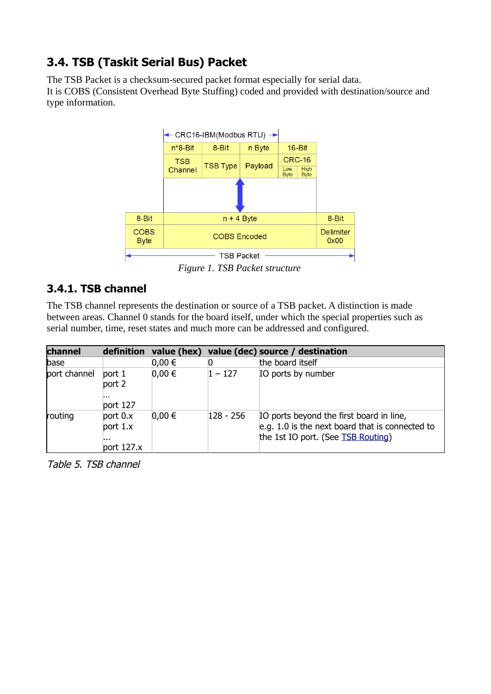# <span id="page-10-1"></span>**3.4. TSB (Taskit Serial Bus) Packet**

The TSB Packet is a checksum-secured packet format especially for serial data. It is COBS (Consistent Overhead Byte Stuffing) coded and provided with destination/source and type information.



<span id="page-10-2"></span>*Figure 1. TSB Packet structure*

### <span id="page-10-0"></span>**3.4.1. TSB channel**

The TSB channel represents the destination or source of a TSB packet. A distinction is made between areas. Channel 0 stands for the board itself, under which the special properties such as serial number, time, reset states and much more can be addressed and configured.

<span id="page-10-3"></span>

| channel      | definition                                    |            |           | value (hex) value (dec) source / destination                                                                                      |
|--------------|-----------------------------------------------|------------|-----------|-----------------------------------------------------------------------------------------------------------------------------------|
| base         |                                               | $0,00 \in$ |           | the board itself                                                                                                                  |
| port channel | port 1<br>port 2<br>.<br>port $127$           | $0,00 \in$ | $1 - 127$ | IO ports by number                                                                                                                |
| routing      | port $0.x$<br>port $1.x$<br>.<br>port $127.x$ | $0,00 \in$ | 128 - 256 | IO ports beyond the first board in line,<br>e.g. 1.0 is the next board that is connected to<br>the 1st IO port. (See TSB Routing) |

Table 5. TSB channel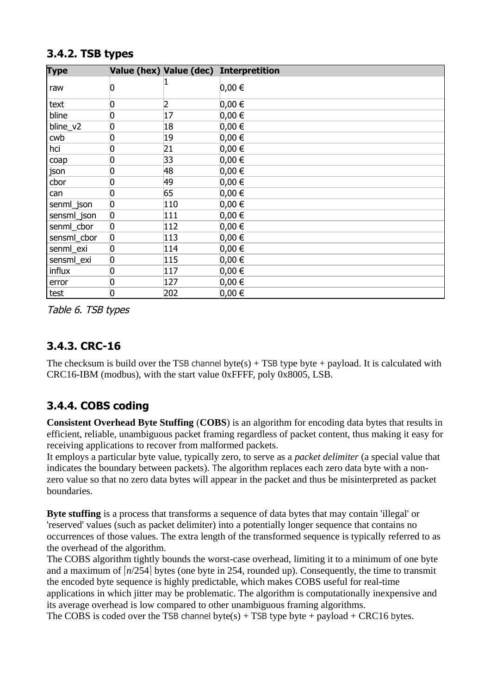<span id="page-11-3"></span>

| <b>Type</b> |                |     | Value (hex) Value (dec) Interpretition |
|-------------|----------------|-----|----------------------------------------|
| raw         | 0              |     | $0,00 \in$                             |
| text        | 0              | 2   | $0,00 \in$                             |
| bline       | 0              | 17  | $0,00 \in$                             |
| bline_v2    | 0              | 18  | $0,00 \in$                             |
| cwb         | 0              | 19  | $0,00 \in$                             |
| hci         | 0              | 21  | $0,00 \in$                             |
| coap        | 0              | 33  | $0,00 \in$                             |
| json        | 0              | 48  | $0,00 \in$                             |
| cbor        | 0              | 49  | $0,00 \in$                             |
| can         | 0              | 65  | $0,00 \in$                             |
| senml_json  | 0              | 110 | $0,00 \in$                             |
| sensml_json | $\overline{0}$ | 111 | $0,00 \in$                             |
| senml_cbor  | 0              | 112 | $0,00 \in$                             |
| sensml_cbor | $\overline{0}$ | 113 | $0,00 \in$                             |
| senml_exi   | 0              | 114 | $0,00 \in$                             |
| sensml_exi  | 0              | 115 | $0,00 \in$                             |
| influx      | 0              | 117 | $0,00 \in$                             |
| error       | 0              | 127 | $0,00 \in$                             |
| test        | 0              | 202 | $0,00 \in$                             |

#### <span id="page-11-2"></span>**3.4.2. TSB types**

Table 6. TSB types

### <span id="page-11-1"></span>**3.4.3. CRC-16**

The checksum is build over the TSB channel byte(s)  $+$  TSB type byte  $+$  payload. It is calculated with CRC16-IBM (modbus), with the start value 0xFFFF, poly 0x8005, LSB.

# <span id="page-11-0"></span>**3.4.4. COBS coding**

**Consistent Overhead Byte Stuffing** (**COBS**) is an algorithm for encoding data bytes that results in efficient, reliable, unambiguous packet framing regardless of packet content, thus making it easy for receiving applications to recover from malformed packets.

It employs a particular byte value, typically zero, to serve as a *packet delimiter* (a special value that indicates the boundary between packets). The algorithm replaces each zero data byte with a nonzero value so that no zero data bytes will appear in the packet and thus be misinterpreted as packet boundaries.

**Byte stuffing** is a process that transforms a sequence of data bytes that may contain 'illegal' or 'reserved' values (such as packet delimiter) into a potentially longer sequence that contains no occurrences of those values. The extra length of the transformed sequence is typically referred to as the overhead of the algorithm.

The COBS algorithm tightly bounds the worst-case overhead, limiting it to a minimum of one byte and a maximum of  $\lfloor n/254 \rfloor$  bytes (one byte in 254, rounded up). Consequently, the time to transmit the encoded byte sequence is highly predictable, which makes COBS useful for real-time applications in which jitter may be problematic. The algorithm is computationally inexpensive and its average overhead is low compared to other unambiguous framing algorithms. The COBS is coded over the TSB channel byte(s)  $+$  TSB type byte  $+$  payload  $+$  CRC16 bytes.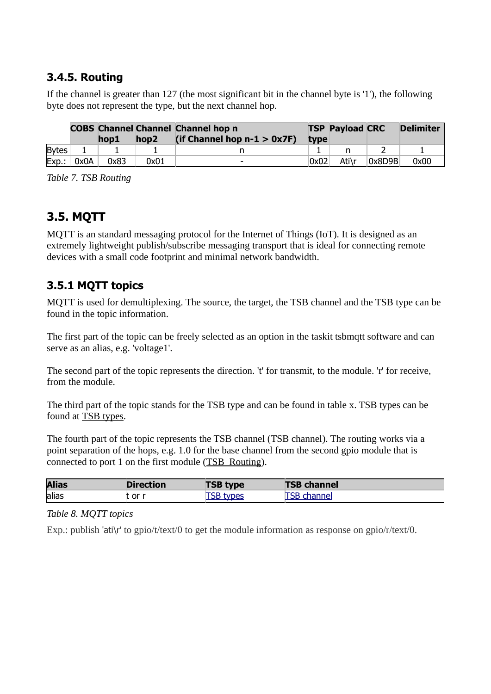### <span id="page-12-2"></span>**3.4.5. Routing**

If the channel is greater than 127 (the most significant bit in the channel byte is '1'), the following byte does not represent the type, but the next channel hop.

<span id="page-12-3"></span>

|              |      | hop1 | hop <sub>2</sub> | <b>COBS Channel Channel Channel hop n</b><br>(if Channel hop $n-1 > 0x7F$ ) | type | <b>TSP Payload CRC</b> |        | <b>Delimiter</b> |
|--------------|------|------|------------------|-----------------------------------------------------------------------------|------|------------------------|--------|------------------|
| <b>Bytes</b> |      |      |                  |                                                                             |      |                        |        |                  |
| $Exp.$ :     | 0x0A | 0x83 | 0x01             | $\overline{\phantom{0}}$                                                    | 0x02 | Ati\r                  | 0x8D9B | 0x00             |

*Table 7. TSB Routing*

## <span id="page-12-1"></span>**3.5. MQTT**

MQTT is an standard messaging protocol for the Internet of Things (IoT). It is designed as an extremely lightweight publish/subscribe messaging transport that is ideal for connecting remote devices with a small code footprint and minimal network bandwidth.

### <span id="page-12-0"></span>**3.5.1 MQTT topics**

MQTT is used for demultiplexing. The source, the target, the TSB channel and the TSB type can be found in the topic information.

The first part of the topic can be freely selected as an option in the taskit tsbmqtt software and can serve as an alias, e.g. 'voltage1'.

The second part of the topic represents the direction. 't' for transmit, to the module. 'r' for receive, from the module.

The third part of the topic stands for the TSB type and can be found in table x. TSB types can be found at [TSB types.](#page-11-3)

The fourth part of the topic represents the TSB channel [\(TSB channel\)](#page-10-3). The routing works via a point separation of the hops, e.g. 1.0 for the base channel from the second gpio module that is connected to port 1 on the first module [\(TSB\\_Routing\)](#page-12-3).

| <b>Alias</b> | Direction | <b>TSB type</b> | <b>TSB channel</b> |
|--------------|-----------|-----------------|--------------------|
| alias        | . or r    | types           |                    |

*Table 8. MQTT topics*

Exp.: publish 'ati\r' to gpio/t/text/0 to get the module information as response on gpio/r/text/0.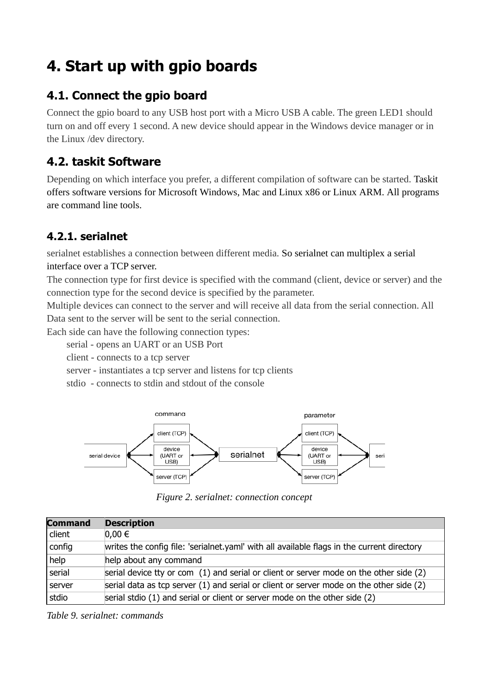# <span id="page-13-3"></span>**4. Start up with gpio boards**

## <span id="page-13-2"></span>**4.1. Connect the gpio board**

Connect the gpio board to any USB host port with a Micro USB A cable. The green LED1 should turn on and off every 1 second. A new device should appear in the Windows device manager or in the Linux /dev directory.

## <span id="page-13-1"></span>**4.2. taskit Software**

Depending on which interface you prefer, a different compilation of software can be started. Taskit offers software versions for Microsoft Windows, Mac and Linux x86 or Linux ARM. All programs are command line tools.

# <span id="page-13-0"></span>**4.2.1. serialnet**

serialnet establishes a connection between different media. So serialnet can multiplex a serial interface over a TCP server.

The connection type for first device is specified with the command (client, device or server) and the connection type for the second device is specified by the parameter.

Multiple devices can connect to the server and will receive all data from the serial connection. All Data sent to the server will be sent to the serial connection.

Each side can have the following connection types:

serial - opens an UART or an USB Port

client - connects to a tcp server

server - instantiates a tcp server and listens for tcp clients

stdio - connects to stdin and stdout of the console



<span id="page-13-4"></span>*Figure 2. serialnet: connection concept*

| <b>Command</b> | <b>Description</b>                                                                          |
|----------------|---------------------------------------------------------------------------------------------|
| client         | $0,00 \in$                                                                                  |
| $ $ config     | writes the config file: 'serialnet yaml' with all available flags in the current directory  |
| help           | help about any command                                                                      |
| serial         | serial device tty or com (1) and serial or client or server mode on the other side (2)      |
| server         | serial data as tcp server $(1)$ and serial or client or server mode on the other side $(2)$ |
| stdio          | serial stdio (1) and serial or client or server mode on the other side (2)                  |

*Table 9. serialnet: commands*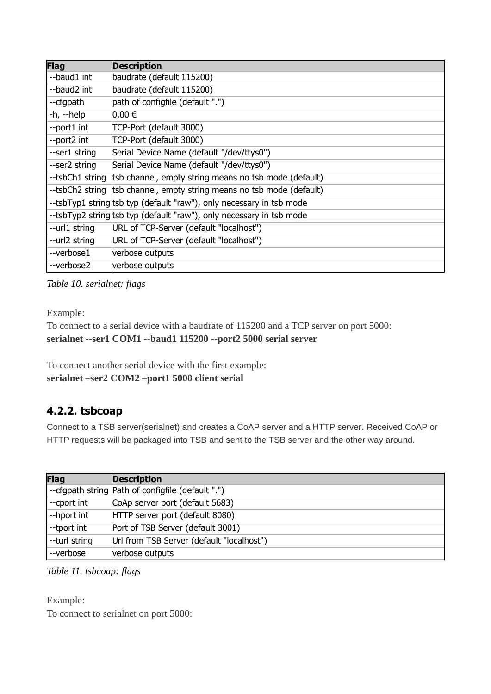| Flag            | <b>Description</b>                                                    |
|-----------------|-----------------------------------------------------------------------|
| --baud1 int     | baudrate (default 115200)                                             |
| --baud2 int     | baudrate (default 115200)                                             |
| --cfgpath       | path of configfile (default ".")                                      |
| -h, --help      | 0,00 €                                                                |
| --port1 int     | TCP-Port (default 3000)                                               |
| --port2 int     | TCP-Port (default 3000)                                               |
| --ser1 string   | Serial Device Name (default "/dev/ttys0")                             |
| --ser2 string   | Serial Device Name (default "/dev/ttys0")                             |
| --tsbCh1 string | tsb channel, empty string means no tsb mode (default)                 |
|                 | --tsbCh2 string tsb channel, empty string means no tsb mode (default) |
|                 | --tsbTyp1 string tsb typ (default "raw"), only necessary in tsb mode  |
|                 | --tsbTyp2 string tsb typ (default "raw"), only necessary in tsb mode  |
| --url1 string   | URL of TCP-Server (default "localhost")                               |
| --url2 string   | URL of TCP-Server (default "localhost")                               |
| --verbose1      | verbose outputs                                                       |
| --verbose2      | verbose outputs                                                       |

*Table 10. serialnet: flags*

Example:

```
To connect to a serial device with a baudrate of 115200 and a TCP server on port 5000:
serialnet --ser1 COM1 --baud1 115200 --port2 5000 serial server
```
To connect another serial device with the first example: **serialnet –ser2 COM2 –port1 5000 client serial**

### <span id="page-14-0"></span>**4.2.2. tsbcoap**

Connect to a TSB server(serialnet) and creates a CoAP server and a HTTP server. Received CoAP or HTTP requests will be packaged into TSB and sent to the TSB server and the other way around.

| <b>Flag</b>   | <b>Description</b>                                |
|---------------|---------------------------------------------------|
|               | --cfgpath string Path of configfile (default ".") |
| --cport int   | CoAp server port (default 5683)                   |
| --hport int   | HTTP server port (default 8080)                   |
| --tport int   | Port of TSB Server (default 3001)                 |
| --turl string | Url from TSB Server (default "localhost")         |
| --verbose     | verbose outputs                                   |

```
Table 11. tsbcoap: flags
```
Example: To connect to serialnet on port 5000: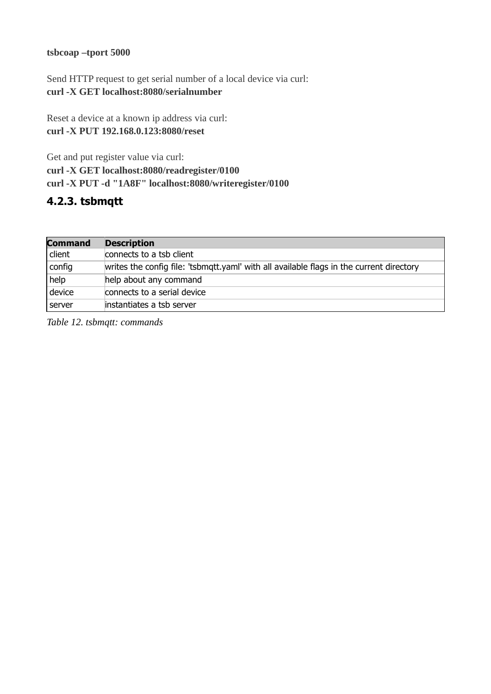#### **tsbcoap –tport 5000**

Send HTTP request to get serial number of a local device via curl: **curl -X GET localhost:8080/serialnumber**

Reset a device at a known ip address via curl: **curl -X PUT 192.168.0.123:8080/reset**

Get and put register value via curl: **curl -X GET localhost:8080/readregister/0100 curl -X PUT -d "1A8F" localhost:8080/writeregister/0100**

#### <span id="page-15-0"></span>**4.2.3. tsbmqtt**

| <b>Command</b> | <b>Description</b>                                                                       |
|----------------|------------------------------------------------------------------------------------------|
| client         | connects to a tsb client                                                                 |
| config         | writes the config file: 'tsbmqtt.yaml' with all available flags in the current directory |
| help           | help about any command                                                                   |
| device         | connects to a serial device                                                              |
| server         | instantiates a tsb server                                                                |

*Table 12. tsbmqtt: commands*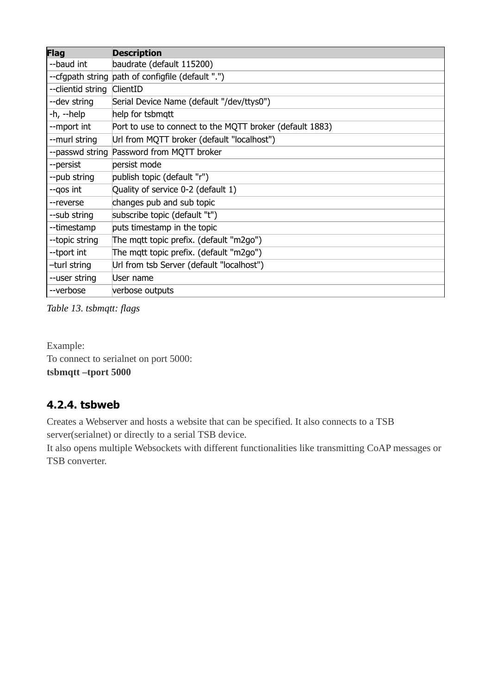| <b>Flag</b>                | <b>Description</b>                                       |
|----------------------------|----------------------------------------------------------|
| --baud int                 | baudrate (default 115200)                                |
|                            | --cfgpath string path of configfile (default ".")        |
| --clientid string ClientID |                                                          |
| --dev string               | Serial Device Name (default "/dev/ttys0")                |
| $-h$ , $-help$             | help for tsbmqtt                                         |
| --mport int                | Port to use to connect to the MQTT broker (default 1883) |
| --murl string              | Url from MQTT broker (default "localhost")               |
|                            | --passwd string Password from MQTT broker                |
| --persist                  | persist mode                                             |
| --pub string               | publish topic (default "r")                              |
| --gos int                  | Quality of service 0-2 (default 1)                       |
| --reverse                  | changes pub and sub topic                                |
| --sub string               | subscribe topic (default "t")                            |
| --timestamp                | puts timestamp in the topic                              |
| --topic string             | The mqtt topic prefix. (default "m2go")                  |
| --tport int                | The mqtt topic prefix. (default "m2go")                  |
| -turl string               | Url from tsb Server (default "localhost")                |
| --user string              | User name                                                |
| --verbose                  | verbose outputs                                          |

*Table 13. tsbmqtt: flags*

Example: To connect to serialnet on port 5000: **tsbmqtt –tport 5000**

### <span id="page-16-0"></span>**4.2.4. tsbweb**

Creates a Webserver and hosts a website that can be specified. It also connects to a TSB server(serialnet) or directly to a serial TSB device.

It also opens multiple Websockets with different functionalities like transmitting CoAP messages or TSB converter.